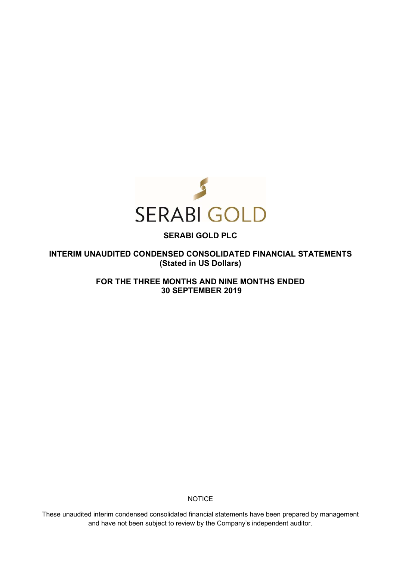

## **SERABI GOLD PLC**

**INTERIM UNAUDITED CONDENSED CONSOLIDATED FINANCIAL STATEMENTS (Stated in US Dollars)** 

> **FOR THE THREE MONTHS AND NINE MONTHS ENDED 30 SEPTEMBER 2019**

> > **NOTICE**

These unaudited interim condensed consolidated financial statements have been prepared by management and have not been subject to review by the Company's independent auditor.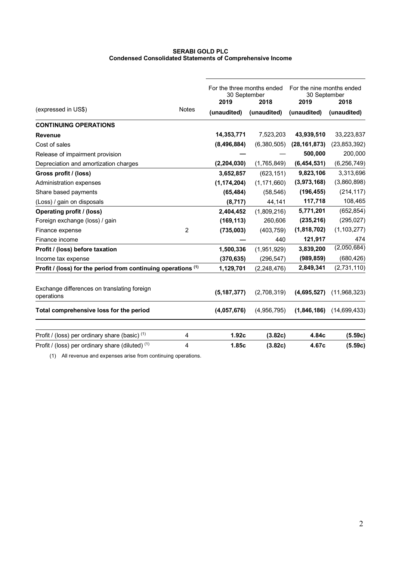## **SERABI GOLD PLC Condensed Consolidated Statements of Comprehensive Income**

|                                                               |              | For the three months ended<br>30 September<br>2019<br>2018 |               | For the nine months ended<br>30 September<br>2019 | 2018           |  |
|---------------------------------------------------------------|--------------|------------------------------------------------------------|---------------|---------------------------------------------------|----------------|--|
| (expressed in US\$)                                           | <b>Notes</b> | (unaudited)                                                | (unaudited)   | (unaudited)                                       | (unaudited)    |  |
| <b>CONTINUING OPERATIONS</b>                                  |              |                                                            |               |                                                   |                |  |
| <b>Revenue</b>                                                |              | 14,353,771                                                 | 7,523,203     | 43,939,510                                        | 33,223,837     |  |
| Cost of sales                                                 |              | (8, 496, 884)                                              | (6,380,505)   | (28, 161, 873)                                    | (23, 853, 392) |  |
| Release of impairment provision                               |              |                                                            |               | 500,000                                           | 200,000        |  |
| Depreciation and amortization charges                         |              | (2, 204, 030)                                              | (1,765,849)   | (6,454,531)                                       | (6, 256, 749)  |  |
| Gross profit / (loss)                                         |              | 3,652,857                                                  | (623, 151)    | 9,823,106                                         | 3,313,696      |  |
| <b>Administration expenses</b>                                |              | (1, 174, 204)                                              | (1, 171, 660) | (3,973,168)                                       | (3,860,898)    |  |
| Share based payments                                          |              | (65, 484)                                                  | (58, 546)     | (196, 455)                                        | (214, 117)     |  |
| (Loss) / gain on disposals                                    |              | (8,717)                                                    | 44,141        | 117,718                                           | 108,465        |  |
| <b>Operating profit / (loss)</b>                              |              | 2,404,452                                                  | (1,809,216)   | 5,771,201                                         | (652, 854)     |  |
| Foreign exchange (loss) / gain                                |              | (169, 113)                                                 | 260,606       | (235, 216)                                        | (295, 027)     |  |
| Finance expense                                               | 2            | (735,003)                                                  | (403, 759)    | (1,818,702)                                       | (1, 103, 277)  |  |
| Finance income                                                |              |                                                            | 440           | 121,917                                           | 474            |  |
| Profit / (loss) before taxation                               |              | 1,500,336                                                  | (1,951,929)   | 3,839,200                                         | (2,050,684)    |  |
| Income tax expense                                            |              | (370, 635)                                                 | (296, 547)    | (989, 859)                                        | (680, 426)     |  |
| Profit / (loss) for the period from continuing operations (1) |              | 1,129,701                                                  | (2, 248, 476) | 2,849,341                                         | (2,731,110)    |  |
| Exchange differences on translating foreign<br>operations     |              | (5, 187, 377)                                              | (2,708,319)   | (4,695,527)                                       | (11,968,323)   |  |
| Total comprehensive loss for the period                       |              | (4,057,676)                                                | (4,956,795)   | (1,846,186)                                       | (14,699,433)   |  |
| Profit / (loss) per ordinary share (basic) <sup>(1)</sup>     | 4            | 1.92c                                                      | (3.82c)       | 4.84c                                             | (5.59c)        |  |
| Profit / (loss) per ordinary share (diluted) <sup>(1)</sup>   | 4            | 1.85c                                                      | (3.82c)       | 4.67c                                             | (5.59c)        |  |

(1) All revenue and expenses arise from continuing operations.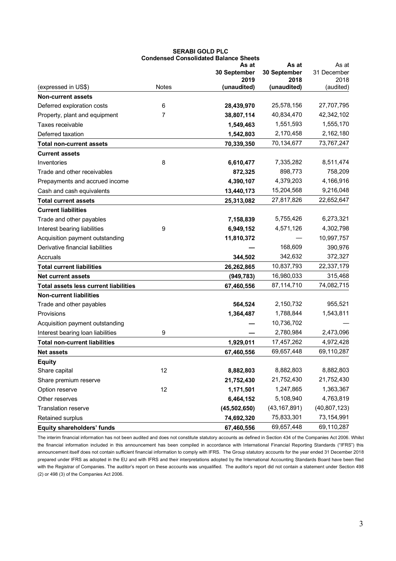|                                              | <b>Condensed Consolidated Balance Sheets</b> |                      |                      |                   |  |
|----------------------------------------------|----------------------------------------------|----------------------|----------------------|-------------------|--|
|                                              |                                              | As at                | As at                | As at             |  |
|                                              |                                              | 30 September<br>2019 | 30 September<br>2018 | 31 December       |  |
| (expressed in US\$)                          | Notes                                        | (unaudited)          | (unaudited)          | 2018<br>(audited) |  |
| <b>Non-current assets</b>                    |                                              |                      |                      |                   |  |
| Deferred exploration costs                   | 6                                            | 28,439,970           | 25,578,156           | 27,707,795        |  |
| Property, plant and equipment                | 7                                            | 38,807,114           | 40,834,470           | 42,342,102        |  |
| Taxes receivable                             |                                              | 1,549,463            | 1,551,593            | 1,555,170         |  |
| Deferred taxation                            |                                              | 1,542,803            | 2,170,458            | 2,162,180         |  |
| <b>Total non-current assets</b>              |                                              | 70,339,350           | 70,134,677           | 73,767,247        |  |
| <b>Current assets</b>                        |                                              |                      |                      |                   |  |
| Inventories                                  | 8                                            | 6,610,477            | 7,335,282            | 8,511,474         |  |
| Trade and other receivables                  |                                              | 872,325              | 898,773              | 758,209           |  |
| Prepayments and accrued income               |                                              | 4,390,107            | 4,379,203            | 4,166,916         |  |
| Cash and cash equivalents                    |                                              | 13,440,173           | 15,204,568           | 9,216,048         |  |
| <b>Total current assets</b>                  |                                              | 25,313,082           | 27,817,826           | 22,652,647        |  |
| <b>Current liabilities</b>                   |                                              |                      |                      |                   |  |
| Trade and other payables                     |                                              | 7,158,839            | 5,755,426            | 6,273,321         |  |
| Interest bearing liabilities                 | 9                                            | 6,949,152            | 4,571,126            | 4,302,798         |  |
| Acquisition payment outstanding              |                                              | 11,810,372           |                      | 10,997,757        |  |
| Derivative financial liabilities             |                                              |                      | 168,609              | 390,976           |  |
| Accruals                                     |                                              | 344,502              | 342,632              | 372,327           |  |
| <b>Total current liabilities</b>             |                                              | 26,262,865           | 10,837,793           | 22,337,179        |  |
| <b>Net current assets</b>                    |                                              | (949, 783)           | 16,980,033           | 315,468           |  |
| <b>Total assets less current liabilities</b> |                                              | 67,460,556           | 87,114,710           | 74,082,715        |  |
| <b>Non-current liabilities</b>               |                                              |                      |                      |                   |  |
| Trade and other payables                     |                                              | 564,524              | 2,150,732            | 955,521           |  |
| Provisions                                   |                                              | 1,364,487            | 1,788,844            | 1,543,811         |  |
| Acquisition payment outstanding              |                                              |                      | 10,736,702           |                   |  |
| Interest bearing loan liabilities            | 9                                            |                      | 2,780,984            | 2,473,096         |  |
| <b>Total non-current liabilities</b>         |                                              | 1,929,011            | 17,457,262           | 4,972,428         |  |
| <b>Net assets</b>                            |                                              | 67,460,556           | 69,657,448           | 69,110,287        |  |
| <b>Equity</b>                                |                                              |                      |                      |                   |  |
| Share capital                                | 12                                           | 8,882,803            | 8,882,803            | 8,882,803         |  |
| Share premium reserve                        |                                              | 21,752,430           | 21,752,430           | 21,752,430        |  |
| Option reserve                               | 12                                           | 1,171,501            | 1,247,865            | 1,363,367         |  |
| Other reserves                               |                                              | 6,464,152            | 5,108,940            | 4,763,819         |  |
| Translation reserve                          |                                              | (45, 502, 650)       | (43, 167, 891)       | (40, 807, 123)    |  |
| Retained surplus                             |                                              | 74,692,320           | 75,833,301           | 73,154,991        |  |
| Equity shareholders' funds                   |                                              | 67,460,556           | 69,657,448           | 69,110,287        |  |

# **SERABI GOLD PLC**

The interim financial information has not been audited and does not constitute statutory accounts as defined in Section 434 of the Companies Act 2006. Whilst the financial information included in this announcement has been compiled in accordance with International Financial Reporting Standards ("IFRS") this announcement itself does not contain sufficient financial information to comply with IFRS. The Group statutory accounts for the year ended 31 December 2018 prepared under IFRS as adopted in the EU and with IFRS and their interpretations adopted by the International Accounting Standards Board have been filed with the Registrar of Companies. The auditor's report on these accounts was unqualified. The auditor's report did not contain a statement under Section 498 (2) or 498 (3) of the Companies Act 2006.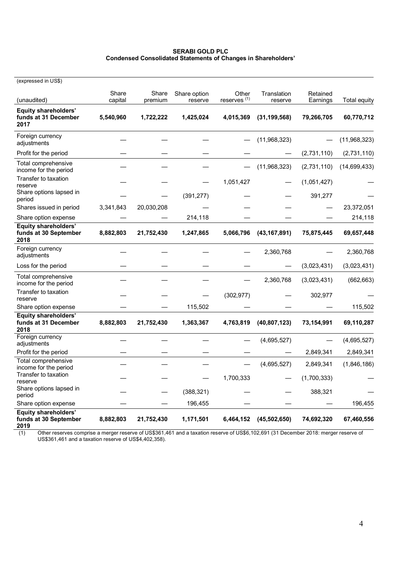## **SERABI GOLD PLC Condensed Consolidated Statements of Changes in Shareholders'**

| (expressed in US\$)                                          |                  |                  |                         |                                  |                        |                      |                     |
|--------------------------------------------------------------|------------------|------------------|-------------------------|----------------------------------|------------------------|----------------------|---------------------|
| (unaudited)                                                  | Share<br>capital | Share<br>premium | Share option<br>reserve | Other<br>reserves <sup>(1)</sup> | Translation<br>reserve | Retained<br>Earnings | <b>Total equity</b> |
| Equity shareholders'<br>funds at 31 December<br>2017         | 5,540,960        | 1,722,222        | 1,425,024               | 4,015,369                        | (31, 199, 568)         | 79,266,705           | 60,770,712          |
| Foreign currency<br>adjustments                              |                  |                  |                         |                                  | (11,968,323)           |                      | (11,968,323)        |
| Profit for the period                                        |                  |                  |                         |                                  |                        | (2,731,110)          | (2,731,110)         |
| Total comprehensive<br>income for the period                 |                  |                  |                         |                                  | (11,968,323)           | (2,731,110)          | (14,699,433)        |
| Transfer to taxation<br>reserve                              |                  |                  |                         | 1,051,427                        |                        | (1,051,427)          |                     |
| Share options lapsed in<br>period                            |                  |                  | (391, 277)              |                                  |                        | 391,277              |                     |
| Shares issued in period                                      | 3,341,843        | 20,030,208       |                         |                                  |                        |                      | 23,372,051          |
| Share option expense                                         |                  |                  | 214,118                 |                                  |                        |                      | 214,118             |
| <b>Equity shareholders'</b><br>funds at 30 September<br>2018 | 8,882,803        | 21,752,430       | 1,247,865               | 5,066,796                        | (43, 167, 891)         | 75,875,445           | 69,657,448          |
| Foreign currency<br>adjustments                              |                  |                  |                         |                                  | 2,360,768              |                      | 2,360,768           |
| Loss for the period                                          |                  |                  |                         |                                  |                        | (3,023,431)          | (3,023,431)         |
| Total comprehensive<br>income for the period                 |                  |                  |                         |                                  | 2,360,768              | (3,023,431)          | (662, 663)          |
| Transfer to taxation<br>reserve                              |                  |                  |                         | (302, 977)                       |                        | 302,977              |                     |
| Share option expense                                         |                  |                  | 115,502                 |                                  |                        |                      | 115,502             |
| <b>Equity shareholders'</b><br>funds at 31 December<br>2018  | 8,882,803        | 21,752,430       | 1,363,367               | 4,763,819                        | (40,807,123)           | 73, 154, 991         | 69,110,287          |
| Foreign currency<br>adjustments                              |                  |                  |                         |                                  | (4,695,527)            |                      | (4,695,527)         |
| Profit for the period                                        |                  |                  |                         |                                  |                        | 2,849,341            | 2,849,341           |
| Total comprehensive<br>income for the period                 |                  |                  |                         |                                  | (4,695,527)            | 2,849,341            | (1,846,186)         |
| Transfer to taxation<br>reserve                              |                  |                  |                         | 1,700,333                        |                        | (1,700,333)          |                     |
| Share options lapsed in<br>period                            |                  |                  | (388, 321)              |                                  |                        | 388,321              |                     |
| Share option expense                                         |                  |                  | 196,455                 |                                  |                        |                      | 196,455             |
| Equity shareholders'<br>funds at 30 September<br>2019        | 8,882,803        | 21,752,430       | 1,171,501               | 6,464,152                        | (45, 502, 650)         | 74,692,320           | 67,460,556          |

**2019** (1) Other reserves comprise a merger reserve of US\$361,461 and a taxation reserve of US\$6,102,691 (31 December 2018: merger reserve of US\$361,461 and a taxation reserve of US\$4,402,358).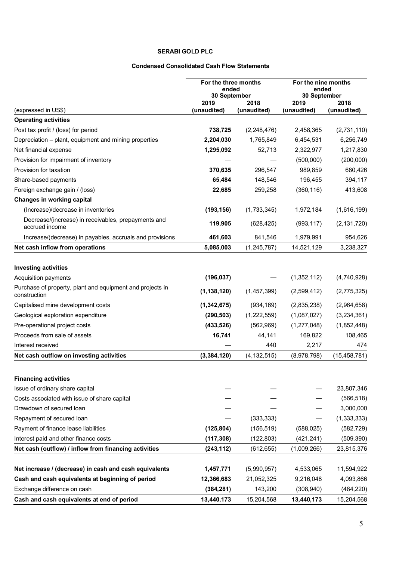## **SERABI GOLD PLC**

## **Condensed Consolidated Cash Flow Statements**

|                                                                       | For the three months<br>ended<br>30 September |                     | For the nine months<br>ended<br>30 September |                     |
|-----------------------------------------------------------------------|-----------------------------------------------|---------------------|----------------------------------------------|---------------------|
|                                                                       | 2019<br>(unaudited)                           | 2018<br>(unaudited) | 2019<br>(unaudited)                          | 2018<br>(unaudited) |
| (expressed in US\$)<br><b>Operating activities</b>                    |                                               |                     |                                              |                     |
| Post tax profit / (loss) for period                                   | 738,725                                       | (2, 248, 476)       | 2,458,365                                    | (2,731,110)         |
| Depreciation - plant, equipment and mining properties                 | 2,204,030                                     | 1,765,849           | 6,454,531                                    | 6,256,749           |
| Net financial expense                                                 | 1,295,092                                     | 52,713              | 2,322,977                                    | 1,217,830           |
| Provision for impairment of inventory                                 |                                               |                     | (500,000)                                    | (200,000)           |
| Provision for taxation                                                | 370,635                                       | 296,547             | 989,859                                      | 680,426             |
| Share-based payments                                                  | 65,484                                        | 148,546             | 196,455                                      | 394,117             |
| Foreign exchange gain / (loss)                                        | 22,685                                        | 259,258             | (360, 116)                                   | 413,608             |
| Changes in working capital                                            |                                               |                     |                                              |                     |
| (Increase)/decrease in inventories                                    | (193, 156)                                    | (1,733,345)         | 1,972,184                                    | (1,616,199)         |
| Decrease/(increase) in receivables, prepayments and<br>accrued income | 119,905                                       | (628, 425)          | (993, 117)                                   | (2, 131, 720)       |
| Increase/(decrease) in payables, accruals and provisions              | 461,603                                       | 841,546             | 1,979,991                                    | 954,626             |
| Net cash inflow from operations                                       | 5,085,003                                     | (1, 245, 787)       | 14,521,129                                   | 3,238,327           |
| <b>Investing activities</b><br>Acquisition payments                   | (196, 037)                                    |                     | (1,352,112)                                  | (4,740,928)         |
| Purchase of property, plant and equipment and projects in             |                                               |                     |                                              |                     |
| construction                                                          | (1, 138, 120)                                 | (1,457,399)         | (2,599,412)                                  | (2,775,325)         |
| Capitalised mine development costs                                    | (1,342,675)                                   | (934, 169)          | (2,835,238)                                  | (2,964,658)         |
| Geological exploration expenditure                                    | (290, 503)                                    | (1,222,559)         | (1,087,027)                                  | (3,234,361)         |
| Pre-operational project costs                                         | (433, 526)                                    | (562,969)           | (1, 277, 048)                                | (1,852,448)         |
| Proceeds from sale of assets                                          | 16,741                                        | 44,141              | 169,822                                      | 108,465             |
| Interest received                                                     |                                               | 440                 | 2,217                                        | 474                 |
| Net cash outflow on investing activities                              | (3,384,120)                                   | (4, 132, 515)       | (8,978,798)                                  | (15, 458, 781)      |
| <b>Financing activities</b>                                           |                                               |                     |                                              |                     |
| Issue of ordinary share capital                                       |                                               |                     |                                              | 23,807,346          |
| Costs associated with issue of share capital                          |                                               |                     |                                              | (566, 518)          |
| Drawdown of secured loan                                              |                                               |                     |                                              | 3,000,000           |
| Repayment of secured loan                                             |                                               | (333, 333)          |                                              | (1, 333, 333)       |
| Payment of finance lease liabilities                                  | (125, 804)                                    | (156, 519)          | (588, 025)                                   | (582, 729)          |
| Interest paid and other finance costs                                 | (117, 308)                                    | (122, 803)          | (421, 241)                                   | (509, 390)          |
| Net cash (outflow) / inflow from financing activities                 | (243, 112)                                    | (612, 655)          | (1,009,266)                                  | 23,815,376          |
| Net increase / (decrease) in cash and cash equivalents                | 1,457,771                                     | (5,990,957)         | 4,533,065                                    | 11,594,922          |
| Cash and cash equivalents at beginning of period                      | 12,366,683                                    | 21,052,325          | 9,216,048                                    | 4,093,866           |
| Exchange difference on cash                                           | (384, 281)                                    | 143,200             | (308, 940)                                   | (484, 220)          |
| Cash and cash equivalents at end of period                            | 13,440,173                                    | 15,204,568          | 13,440,173                                   | 15,204,568          |
|                                                                       |                                               |                     |                                              |                     |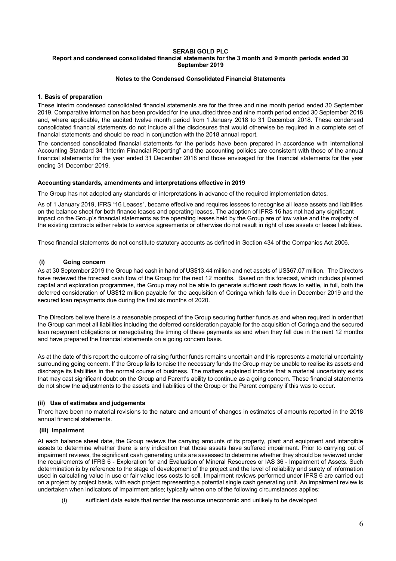## **SERABI GOLD PLC Report and condensed consolidated financial statements for the 3 month and 9 month periods ended 30 September 2019**

## **Notes to the Condensed Consolidated Financial Statements**

## **1. Basis of preparation**

These interim condensed consolidated financial statements are for the three and nine month period ended 30 September 2019. Comparative information has been provided for the unaudited three and nine month period ended 30 September 2018 and, where applicable, the audited twelve month period from 1 January 2018 to 31 December 2018. These condensed consolidated financial statements do not include all the disclosures that would otherwise be required in a complete set of financial statements and should be read in conjunction with the 2018 annual report.

The condensed consolidated financial statements for the periods have been prepared in accordance with International Accounting Standard 34 "Interim Financial Reporting" and the accounting policies are consistent with those of the annual financial statements for the year ended 31 December 2018 and those envisaged for the financial statements for the year ending 31 December 2019.

## **Accounting standards, amendments and interpretations effective in 2019**

The Group has not adopted any standards or interpretations in advance of the required implementation dates.

As of 1 January 2019, IFRS "16 Leases", became effective and requires lessees to recognise all lease assets and liabilities on the balance sheet for both finance leases and operating leases. The adoption of IFRS 16 has not had any significant impact on the Group's financial statements as the operating leases held by the Group are of low value and the majority of the existing contracts either relate to service agreements or otherwise do not result in right of use assets or lease liabilities.

These financial statements do not constitute statutory accounts as defined in Section 434 of the Companies Act 2006.

## **(i) Going concern**

As at 30 September 2019 the Group had cash in hand of US\$13.44 million and net assets of US\$67.07 million. The Directors have reviewed the forecast cash flow of the Group for the next 12 months. Based on this forecast, which includes planned capital and exploration programmes, the Group may not be able to generate sufficient cash flows to settle, in full, both the deferred consideration of US\$12 million payable for the acquisition of Coringa which falls due in December 2019 and the secured loan repayments due during the first six months of 2020.

The Directors believe there is a reasonable prospect of the Group securing further funds as and when required in order that the Group can meet all liabilities including the deferred consideration payable for the acquisition of Coringa and the secured loan repayment obligations or renegotiating the timing of these payments as and when they fall due in the next 12 months and have prepared the financial statements on a going concern basis.

As at the date of this report the outcome of raising further funds remains uncertain and this represents a material uncertainty surrounding going concern. If the Group fails to raise the necessary funds the Group may be unable to realise its assets and discharge its liabilities in the normal course of business. The matters explained indicate that a material uncertainty exists that may cast significant doubt on the Group and Parent's ability to continue as a going concern. These financial statements do not show the adjustments to the assets and liabilities of the Group or the Parent company if this was to occur.

## **(ii) Use of estimates and judgements**

There have been no material revisions to the nature and amount of changes in estimates of amounts reported in the 2018 annual financial statements.

## **(iii) Impairment**

At each balance sheet date, the Group reviews the carrying amounts of its property, plant and equipment and intangible assets to determine whether there is any indication that those assets have suffered impairment. Prior to carrying out of impairment reviews, the significant cash generating units are assessed to determine whether they should be reviewed under the requirements of IFRS 6 - Exploration for and Evaluation of Mineral Resources or IAS 36 - Impairment of Assets. Such determination is by reference to the stage of development of the project and the level of reliability and surety of information used in calculating value in use or fair value less costs to sell. Impairment reviews performed under IFRS 6 are carried out on a project by project basis, with each project representing a potential single cash generating unit. An impairment review is undertaken when indicators of impairment arise; typically when one of the following circumstances applies:

(i) sufficient data exists that render the resource uneconomic and unlikely to be developed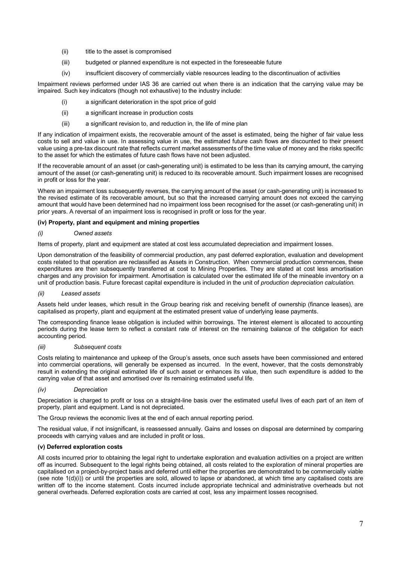- (ii) title to the asset is compromised
- (iii) budgeted or planned expenditure is not expected in the foreseeable future
- (iv) insufficient discovery of commercially viable resources leading to the discontinuation of activities

Impairment reviews performed under IAS 36 are carried out when there is an indication that the carrying value may be impaired. Such key indicators (though not exhaustive) to the industry include:

- (i) a significant deterioration in the spot price of gold
- (ii) a significant increase in production costs
- (iii) a significant revision to, and reduction in, the life of mine plan

If any indication of impairment exists, the recoverable amount of the asset is estimated, being the higher of fair value less costs to sell and value in use. In assessing value in use, the estimated future cash flows are discounted to their present value using a pre-tax discount rate that reflects current market assessments of the time value of money and the risks specific to the asset for which the estimates of future cash flows have not been adjusted.

If the recoverable amount of an asset (or cash-generating unit) is estimated to be less than its carrying amount, the carrying amount of the asset (or cash-generating unit) is reduced to its recoverable amount. Such impairment losses are recognised in profit or loss for the year.

Where an impairment loss subsequently reverses, the carrying amount of the asset (or cash-generating unit) is increased to the revised estimate of its recoverable amount, but so that the increased carrying amount does not exceed the carrying amount that would have been determined had no impairment loss been recognised for the asset (or cash-generating unit) in prior years. A reversal of an impairment loss is recognised in profit or loss for the year.

## **(iv) Property, plant and equipment and mining properties**

## *(i) Owned assets*

Items of property, plant and equipment are stated at cost less accumulated depreciation and impairment losses.

Upon demonstration of the feasibility of commercial production, any past deferred exploration, evaluation and development costs related to that operation are reclassified as Assets in Construction. When commercial production commences, these expenditures are then subsequently transferred at cost to Mining Properties. They are stated at cost less amortisation charges and any provision for impairment. Amortisation is calculated over the estimated life of the mineable inventory on a unit of production basis. Future forecast capital expenditure is included in the unit of *production depreciation calculation.* 

#### *(ii) Leased assets*

Assets held under leases, which result in the Group bearing risk and receiving benefit of ownership (finance leases), are capitalised as property, plant and equipment at the estimated present value of underlying lease payments.

The corresponding finance lease obligation is included within borrowings. The interest element is allocated to accounting periods during the lease term to reflect a constant rate of interest on the remaining balance of the obligation for each accounting period.

#### *(iii) Subsequent costs*

Costs relating to maintenance and upkeep of the Group's assets, once such assets have been commissioned and entered into commercial operations, will generally be expensed as incurred. In the event, however, that the costs demonstrably result in extending the original estimated life of such asset or enhances its value, then such expenditure is added to the carrying value of that asset and amortised over its remaining estimated useful life.

#### *(iv) Depreciation*

Depreciation is charged to profit or loss on a straight-line basis over the estimated useful lives of each part of an item of property, plant and equipment. Land is not depreciated.

The Group reviews the economic lives at the end of each annual reporting period.

The residual value, if not insignificant, is reassessed annually. Gains and losses on disposal are determined by comparing proceeds with carrying values and are included in profit or loss.

## **(v) Deferred exploration costs**

All costs incurred prior to obtaining the legal right to undertake exploration and evaluation activities on a project are written off as incurred. Subsequent to the legal rights being obtained, all costs related to the exploration of mineral properties are capitalised on a project-by-project basis and deferred until either the properties are demonstrated to be commercially viable (see note 1(d)(i)) or until the properties are sold, allowed to lapse or abandoned, at which time any capitalised costs are written off to the income statement. Costs incurred include appropriate technical and administrative overheads but not general overheads. Deferred exploration costs are carried at cost, less any impairment losses recognised.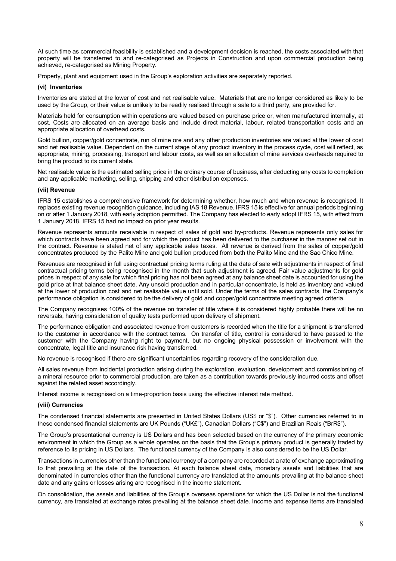At such time as commercial feasibility is established and a development decision is reached, the costs associated with that property will be transferred to and re-categorised as Projects in Construction and upon commercial production being achieved, re-categorised as Mining Property.

Property, plant and equipment used in the Group's exploration activities are separately reported.

## **(vi) Inventories**

Inventories are stated at the lower of cost and net realisable value. Materials that are no longer considered as likely to be used by the Group, or their value is unlikely to be readily realised through a sale to a third party, are provided for.

Materials held for consumption within operations are valued based on purchase price or, when manufactured internally, at cost. Costs are allocated on an average basis and include direct material, labour, related transportation costs and an appropriate allocation of overhead costs.

Gold bullion, copper/gold concentrate, run of mine ore and any other production inventories are valued at the lower of cost and net realisable value. Dependent on the current stage of any product inventory in the process cycle, cost will reflect, as appropriate, mining, processing, transport and labour costs, as well as an allocation of mine services overheads required to bring the product to its current state.

Net realisable value is the estimated selling price in the ordinary course of business, after deducting any costs to completion and any applicable marketing, selling, shipping and other distribution expenses.

#### **(vii) Revenue**

IFRS 15 establishes a comprehensive framework for determining whether, how much and when revenue is recognised. It replaces existing revenue recognition guidance, including IAS 18 Revenue. IFRS 15 is effective for annual periods beginning on or after 1 January 2018, with early adoption permitted. The Company has elected to early adopt IFRS 15, with effect from 1 January 2018. IFRS 15 had no impact on prior year results.

Revenue represents amounts receivable in respect of sales of gold and by-products. Revenue represents only sales for which contracts have been agreed and for which the product has been delivered to the purchaser in the manner set out in the contract. Revenue is stated net of any applicable sales taxes. All revenue is derived from the sales of copper/gold concentrates produced by the Palito Mine and gold bullion produced from both the Palito Mine and the Sao Chico Mine.

Revenues are recognised in full using contractual pricing terms ruling at the date of sale with adjustments in respect of final contractual pricing terms being recognised in the month that such adjustment is agreed. Fair value adjustments for gold prices in respect of any sale for which final pricing has not been agreed at any balance sheet date is accounted for using the gold price at that balance sheet date. Any unsold production and in particular concentrate, is held as inventory and valued at the lower of production cost and net realisable value until sold. Under the terms of the sales contracts, the Company's performance obligation is considered to be the delivery of gold and copper/gold concentrate meeting agreed criteria.

The Company recognises 100% of the revenue on transfer of title where it is considered highly probable there will be no reversals, having consideration of quality tests performed upon delivery of shipment.

The performance obligation and associated revenue from customers is recorded when the title for a shipment is transferred to the customer in accordance with the contract terms. On transfer of title, control is considered to have passed to the customer with the Company having right to payment, but no ongoing physical possession or involvement with the concentrate, legal title and insurance risk having transferred.

No revenue is recognised if there are significant uncertainties regarding recovery of the consideration due.

All sales revenue from incidental production arising during the exploration, evaluation, development and commissioning of a mineral resource prior to commercial production, are taken as a contribution towards previously incurred costs and offset against the related asset accordingly.

Interest income is recognised on a time-proportion basis using the effective interest rate method.

#### **(viii) Currencies**

The condensed financial statements are presented in United States Dollars (US\$ or "\$"). Other currencies referred to in these condensed financial statements are UK Pounds ("UK£"), Canadian Dollars ("C\$") and Brazilian Reais ("BrR\$").

The Group's presentational currency is US Dollars and has been selected based on the currency of the primary economic environment in which the Group as a whole operates on the basis that the Group's primary product is generally traded by reference to its pricing in US Dollars. The functional currency of the Company is also considered to be the US Dollar.

Transactions in currencies other than the functional currency of a company are recorded at a rate of exchange approximating to that prevailing at the date of the transaction. At each balance sheet date, monetary assets and liabilities that are denominated in currencies other than the functional currency are translated at the amounts prevailing at the balance sheet date and any gains or losses arising are recognised in the income statement.

On consolidation, the assets and liabilities of the Group's overseas operations for which the US Dollar is not the functional currency, are translated at exchange rates prevailing at the balance sheet date. Income and expense items are translated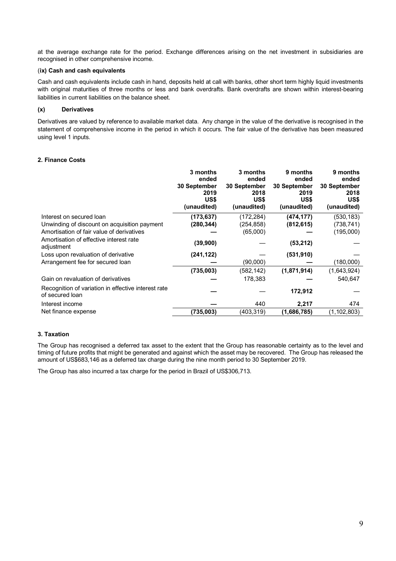at the average exchange rate for the period. Exchange differences arising on the net investment in subsidiaries are recognised in other comprehensive income.

## (**ix) Cash and cash equivalents**

Cash and cash equivalents include cash in hand, deposits held at call with banks, other short term highly liquid investments with original maturities of three months or less and bank overdrafts. Bank overdrafts are shown within interest-bearing liabilities in current liabilities on the balance sheet.

## **(x) Derivatives**

Derivatives are valued by reference to available market data. Any change in the value of the derivative is recognised in the statement of comprehensive income in the period in which it occurs. The fair value of the derivative has been measured using level 1 inputs.

## **2. Finance Costs**

|                                                                        | 3 months<br>ended<br>30 September<br>2019<br>US\$<br>(unaudited) | 3 months<br>ended<br>30 September<br>2018<br>US\$<br>(unaudited) | 9 months<br>ended<br>30 September<br>2019<br>US\$<br>(unaudited) | 9 months<br>ended<br>30 September<br>2018<br>US\$<br>(unaudited) |
|------------------------------------------------------------------------|------------------------------------------------------------------|------------------------------------------------------------------|------------------------------------------------------------------|------------------------------------------------------------------|
| Interest on secured loan                                               | (173, 637)                                                       | (172,284)                                                        | (474, 177)                                                       | (530,183)                                                        |
| Unwinding of discount on acquisition payment                           | (280, 344)                                                       | (254,858)                                                        | (812, 615)                                                       | (738,741)                                                        |
| Amortisation of fair value of derivatives                              |                                                                  | (65,000)                                                         |                                                                  | (195,000)                                                        |
| Amortisation of effective interest rate<br>adjustment                  | (39,900)                                                         |                                                                  | (53, 212)                                                        |                                                                  |
| Loss upon revaluation of derivative                                    | (241, 122)                                                       |                                                                  | (531, 910)                                                       |                                                                  |
| Arrangement fee for secured loan                                       |                                                                  | (90,000)                                                         |                                                                  | (180,000)                                                        |
|                                                                        | (735,003)                                                        | (582, 142)                                                       | (1,871,914)                                                      | (1,643,924)                                                      |
| Gain on revaluation of derivatives                                     |                                                                  | 178,383                                                          |                                                                  | 540,647                                                          |
| Recognition of variation in effective interest rate<br>of secured loan |                                                                  |                                                                  | 172,912                                                          |                                                                  |
| Interest income                                                        |                                                                  | 440                                                              | 2,217                                                            | 474                                                              |
| Net finance expense                                                    | (735,003)                                                        | (403,319)                                                        | (1,686,785)                                                      | (1,102,803)                                                      |

## **3. Taxation**

The Group has recognised a deferred tax asset to the extent that the Group has reasonable certainty as to the level and timing of future profits that might be generated and against which the asset may be recovered. The Group has released the amount of US\$683,146 as a deferred tax charge during the nine month period to 30 September 2019.

The Group has also incurred a tax charge for the period in Brazil of US\$306,713.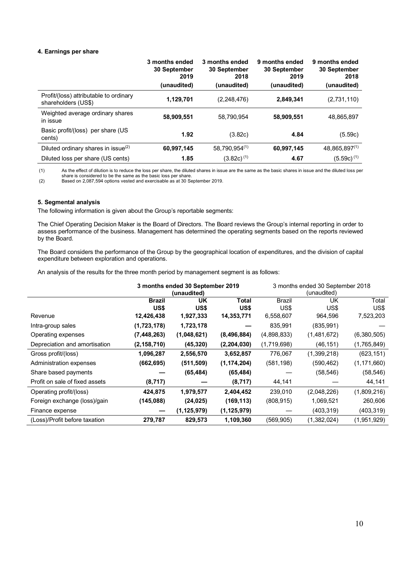#### **4. Earnings per share**

|                                                               | 3 months ended<br>30 September<br>2019<br>(unaudited) | 3 months ended<br>30 September<br>2018<br>(unaudited) | 9 months ended<br>30 September<br>2019<br>(unaudited) | 9 months ended<br><b>30 September</b><br>2018<br>(unaudited) |
|---------------------------------------------------------------|-------------------------------------------------------|-------------------------------------------------------|-------------------------------------------------------|--------------------------------------------------------------|
| Profit/(loss) attributable to ordinary<br>shareholders (US\$) | 1,129,701                                             | (2,248,476)                                           | 2,849,341                                             | (2,731,110)                                                  |
| Weighted average ordinary shares<br>in issue                  | 58,909,551                                            | 58.790.954                                            | 58,909,551                                            | 48.865.897                                                   |
| Basic profit/(loss) per share (US<br>cents)                   | 1.92                                                  | (3.82c)                                               | 4.84                                                  | (5.59c)                                                      |
| Diluted ordinary shares in issue(2)                           | 60,997,145                                            | 58,790,954(1)                                         | 60,997,145                                            | 48,865,897(1)                                                |
| Diluted loss per share (US cents)                             | 1.85                                                  | $(3.82c)^{(1)}$                                       | 4.67                                                  | $(5.59c)^{(1)}$                                              |

(1) As the effect of dilution is to reduce the loss per share, the diluted shares in issue are the same as the basic shares in issue and the diluted loss per share is considered to be the same as the basic loss per share.

(2) Based on 2,087,594 options vested and exercisable as at 30 September 2019.

## **5. Segmental analysis**

The following information is given about the Group's reportable segments:

The Chief Operating Decision Maker is the Board of Directors. The Board reviews the Group's internal reporting in order to assess performance of the business. Management has determined the operating segments based on the reports reviewed by the Board.

The Board considers the performance of the Group by the geographical location of expenditures, and the division of capital expenditure between exploration and operations.

An analysis of the results for the three month period by management segment is as follows:

|                                | 3 months ended 30 September 2019<br>(unaudited) |                   |               | 3 months ended 30 September 2018<br>(unaudited) |                   |               |
|--------------------------------|-------------------------------------------------|-------------------|---------------|-------------------------------------------------|-------------------|---------------|
|                                | <b>Brazil</b><br>US\$                           | <b>UK</b><br>US\$ | Total<br>US\$ | <b>Brazil</b><br>US\$                           | <b>UK</b><br>US\$ | Total<br>US\$ |
| Revenue                        | 12,426,438                                      | 1,927,333         | 14,353,771    | 6,558,607                                       | 964,596           | 7,523,203     |
| Intra-group sales              | (1,723,178)                                     | 1,723,178         |               | 835,991                                         | (835, 991)        |               |
| Operating expenses             | (7, 448, 263)                                   | (1,048,621)       | (8,496,884)   | (4,898,833)                                     | (1,481,672)       | (6,380,505)   |
| Depreciation and amortisation  | (2, 158, 710)                                   | (45, 320)         | (2,204,030)   | (1,719,698)                                     | (46, 151)         | (1,765,849)   |
| Gross profit/(loss)            | 1,096,287                                       | 2,556,570         | 3,652,857     | 776,067                                         | (1,399,218)       | (623, 151)    |
| Administration expenses        | (662, 695)                                      | (511, 509)        | (1, 174, 204) | (581, 198)                                      | (590, 462)        | (1, 171, 660) |
| Share based payments           |                                                 | (65, 484)         | (65, 484)     |                                                 | (58, 546)         | (58, 546)     |
| Profit on sale of fixed assets | (8,717)                                         |                   | (8,717)       | 44,141                                          |                   | 44,141        |
| Operating profit/(loss)        | 424,875                                         | 1,979,577         | 2,404,452     | 239,010                                         | (2,048,226)       | (1,809,216)   |
| Foreign exchange (loss)/gain   | (145,088)                                       | (24, 025)         | (169, 113)    | (808, 915)                                      | 1,069,521         | 260,606       |
| Finance expense                |                                                 | (1, 125, 979)     | (1, 125, 979) |                                                 | (403, 319)        | (403, 319)    |
| (Loss)/Profit before taxation  | 279,787                                         | 829,573           | 1,109,360     | (569, 905)                                      | (1,382,024)       | (1,951,929)   |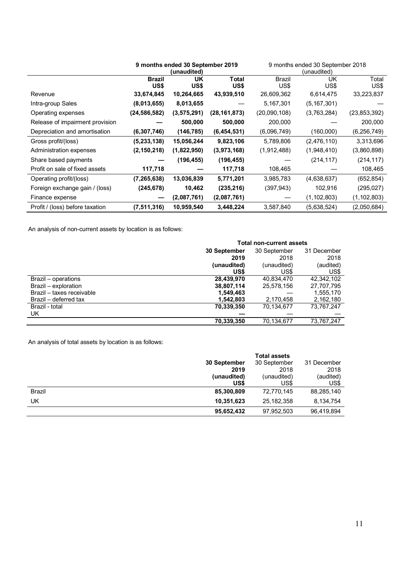|                                 | 9 months ended 30 September 2019 |               | 9 months ended 30 September 2018 |               |               |                |
|---------------------------------|----------------------------------|---------------|----------------------------------|---------------|---------------|----------------|
|                                 |                                  | (unaudited)   |                                  |               | (unaudited)   |                |
|                                 | <b>Brazil</b>                    | UK            | Total                            | <b>Brazil</b> | UK            | Total          |
|                                 | US\$                             | US\$          | US\$                             | US\$          | US\$          | US\$           |
| Revenue                         | 33,674,845                       | 10,264,665    | 43,939,510                       | 26,609,362    | 6,614,475     | 33,223,837     |
| Intra-group Sales               | (8,013,655)                      | 8,013,655     |                                  | 5,167,301     | (5, 167, 301) |                |
| Operating expenses              | (24, 586, 582)                   | (3, 575, 291) | (28, 161, 873)                   | (20,090,108)  | (3,763,284)   | (23, 853, 392) |
| Release of impairment provision |                                  | 500,000       | 500,000                          | 200,000       |               | 200,000        |
| Depreciation and amortisation   | (6,307,746)                      | (146, 785)    | (6,454,531)                      | (6,096,749)   | (160,000)     | (6, 256, 749)  |
| Gross profit/(loss)             | (5, 233, 138)                    | 15,056,244    | 9,823,106                        | 5,789,806     | (2,476,110)   | 3,313,696      |
| Administration expenses         | (2, 150, 218)                    | (1,822,950)   | (3,973,168)                      | (1,912,488)   | (1,948,410)   | (3,860,898)    |
| Share based payments            |                                  | (196, 455)    | (196, 455)                       |               | (214, 117)    | (214, 117)     |
| Profit on sale of fixed assets  | 117,718                          |               | 117,718                          | 108,465       |               | 108,465        |
| Operating profit/(loss)         | (7, 265, 638)                    | 13,036,839    | 5,771,201                        | 3,985,783     | (4,638,637)   | (652, 854)     |
| Foreign exchange gain / (loss)  | (245, 678)                       | 10,462        | (235, 216)                       | (397, 943)    | 102,916       | (295, 027)     |
| Finance expense                 |                                  | (2,087,761)   | (2,087,761)                      |               | (1, 102, 803) | (1, 102, 803)  |
| Profit / (loss) before taxation | (7,511,316)                      | 10,959,540    | 3,448,224                        | 3,587,840     | (5,638,524)   | (2,050,684)    |

An analysis of non-current assets by location is as follows:

|                           | <b>Total non-current assets</b> |              |             |  |
|---------------------------|---------------------------------|--------------|-------------|--|
|                           | 30 September                    | 30 September | 31 December |  |
|                           | 2019                            | 2018         | 2018        |  |
|                           | (unaudited)                     | (unaudited)  | (audited)   |  |
|                           | US\$                            | US\$         | US\$        |  |
| Brazil – operations       | 28,439,970                      | 40,834,470   | 42,342,102  |  |
| Brazil – exploration      | 38,807,114                      | 25,578,156   | 27,707,795  |  |
| Brazil - taxes receivable | 1,549,463                       |              | 1,555,170   |  |
| Brazil – deferred tax     | 1,542,803                       | 2,170,458    | 2,162,180   |  |
| Brazil - total            | 70,339,350                      | 70,134,677   | 73,767,247  |  |
| UK.                       |                                 |              |             |  |
|                           | 70,339,350                      | 70,134,677   | 73,767,247  |  |

An analysis of total assets by location is as follows:

|               |              | <b>Total assets</b> |             |
|---------------|--------------|---------------------|-------------|
|               | 30 September | 30 September        | 31 December |
|               | 2019         | 2018                | 2018        |
|               | (unaudited)  | (unaudited)         | (audited)   |
|               | US\$         | US\$                | US\$        |
| <b>Brazil</b> | 85,300,809   | 72,770,145          | 88,285,140  |
| UK            | 10,351,623   | 25, 182, 358        | 8,134,754   |
|               | 95,652,432   | 97,952,503          | 96,419,894  |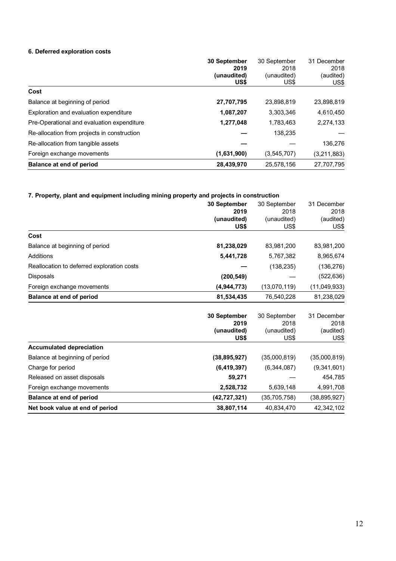## **6. Deferred exploration costs**

|                                             | 30 September | 30 September  | 31 December |
|---------------------------------------------|--------------|---------------|-------------|
|                                             | 2019         | 2018          | 2018        |
|                                             | (unaudited)  | (unaudited)   | (audited)   |
|                                             | US\$         | US\$          | US\$        |
| Cost                                        |              |               |             |
| Balance at beginning of period              | 27,707,795   | 23,898,819    | 23,898,819  |
| Exploration and evaluation expenditure      | 1,087,207    | 3,303,346     | 4,610,450   |
| Pre-Operational and evaluation expenditure  | 1,277,048    | 1,783,463     | 2,274,133   |
| Re-allocation from projects in construction |              | 138,235       |             |
| Re-allocation from tangible assets          |              |               | 136,276     |
| Foreign exchange movements                  | (1,631,900)  | (3, 545, 707) | (3,211,883) |
| Balance at end of period                    | 28,439,970   | 25,578,156    | 27,707,795  |

## **7. Property, plant and equipment including mining property and projects in construction**

|                                            | 30 September<br>2019<br>(unaudited)<br>US\$ | 30 September<br>2018<br>(unaudited)<br>US\$ | 31 December<br>2018<br>(audited)<br>US\$ |
|--------------------------------------------|---------------------------------------------|---------------------------------------------|------------------------------------------|
| Cost                                       |                                             |                                             |                                          |
| Balance at beginning of period             | 81,238,029                                  | 83,981,200                                  | 83,981,200                               |
| Additions                                  | 5,441,728                                   | 5,767,382                                   | 8,965,674                                |
| Reallocation to deferred exploration costs |                                             | (138, 235)                                  | (136, 276)                               |
| Disposals                                  | (200, 549)                                  |                                             | (522, 636)                               |
| Foreign exchange movements                 | (4, 944, 773)                               | (13,070,119)                                | (11,049,933)                             |
| Balance at end of period                   | 81,534,435                                  | 76,540,228                                  | 81,238,029                               |
|                                            |                                             |                                             |                                          |
|                                            | 30 September                                | 30 September                                | 31 December                              |
|                                            | 2019<br>(unaudited)                         | 2018<br>(unaudited)                         | 2018<br>(audited)                        |
|                                            | US\$                                        | US\$                                        | US\$                                     |
| <b>Accumulated depreciation</b>            |                                             |                                             |                                          |
| Balance at beginning of period             | (38, 895, 927)                              | (35,000,819)                                | (35,000,819)                             |
| Charge for period                          | (6, 419, 397)                               | (6,344,087)                                 | (9,341,601)                              |
| Released on asset disposals                | 59,271                                      |                                             | 454,785                                  |
| Foreign exchange movements                 | 2,528,732                                   | 5,639,148                                   | 4,991,708                                |
| Balance at end of period                   | (42, 727, 321)                              | (35, 705, 758)                              | (38, 895, 927)                           |
| Net book value at end of period            | 38,807,114                                  | 40,834,470                                  | 42,342,102                               |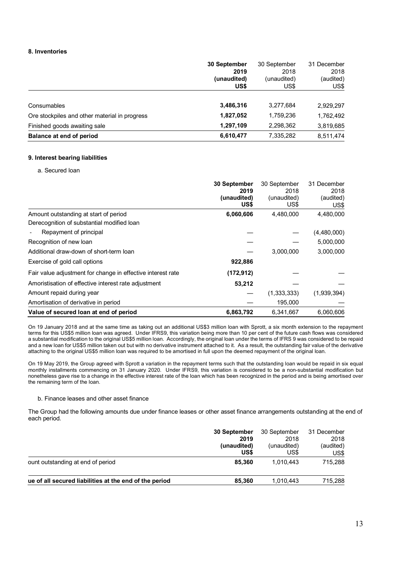## **8. Inventories**

|                                               | <b>30 September</b><br>2019<br>(unaudited)<br>US\$ | 30 September<br>2018<br>(unaudited)<br>US\$ | 31 December<br>2018<br>(audited)<br>US\$ |
|-----------------------------------------------|----------------------------------------------------|---------------------------------------------|------------------------------------------|
| Consumables                                   | 3,486,316                                          | 3,277,684                                   | 2,929,297                                |
| Ore stockpiles and other material in progress | 1,827,052                                          | 1,759,236                                   | 1,762,492                                |
| Finished goods awaiting sale                  | 1,297,109                                          | 2,298,362                                   | 3,819,685                                |
| Balance at end of period                      | 6,610,477                                          | 7,335,282                                   | 8,511,474                                |

## **9. Interest bearing liabilities**

a. Secured loan

|                                                             | <b>30 September</b><br>2019<br>(unaudited)<br>US\$ | 30 September<br>2018<br>(unaudited)<br>US\$ | 31 December<br>2018<br>(audited)<br>US\$ |
|-------------------------------------------------------------|----------------------------------------------------|---------------------------------------------|------------------------------------------|
| Amount outstanding at start of period                       | 6,060,606                                          | 4,480,000                                   | 4,480,000                                |
| Derecognition of substantial modified loan                  |                                                    |                                             |                                          |
| Repayment of principal                                      |                                                    |                                             | (4,480,000)                              |
| Recognition of new loan                                     |                                                    |                                             | 5,000,000                                |
| Additional draw-down of short-term loan                     |                                                    | 3,000,000                                   | 3,000,000                                |
| Exercise of gold call options                               | 922,886                                            |                                             |                                          |
| Fair value adjustment for change in effective interest rate | (172, 912)                                         |                                             |                                          |
| Amoristisation of effective interest rate adjustment        | 53,212                                             |                                             |                                          |
| Amount repaid during year                                   |                                                    | (1,333,333)                                 | (1,939,394)                              |
| Amortisation of derivative in period                        |                                                    | 195,000                                     |                                          |
| Value of secured loan at end of period                      | 6,863,792                                          | 6,341,667                                   | 6,060,606                                |

On 19 January 2018 and at the same time as taking out an additional US\$3 million loan with Sprott, a six month extension to the repayment terms for this US\$5 million loan was agreed. Under IFRS9, this variation being more than 10 per cent of the future cash flows was considered a substantial modification to the original US\$5 million loan. Accordingly, the original loan under the terms of IFRS 9 was considered to be repaid and a new loan for US\$5 million taken out but with no derivative instrument attached to it. As a result, the outstanding fair value of the derivative attaching to the original US\$5 million loan was required to be amortised in full upon the deemed repayment of the original loan.

On 19 May 2019, the Group agreed with Sprott a variation in the repayment terms such that the outstanding loan would be repaid in six equal monthly installments commencing on 31 January 2020. Under IFRS9, this variation is considered to be a non-substantial modification but nonetheless gave rise to a change in the effective interest rate of the loan which has been recognized in the period and is being amortised over the remaining term of the loan.

## b. Finance leases and other asset finance

The Group had the following amounts due under finance leases or other asset finance arrangements outstanding at the end of each period.

| 30 September |             | 31 December               |  |
|--------------|-------------|---------------------------|--|
| 2019         | 2018        | 2018                      |  |
| (unaudited)  | (unaudited) | (audited)                 |  |
| US\$         | US\$        | US\$                      |  |
| 85.360       | 1.010.443   | 715.288                   |  |
|              |             | 715,288                   |  |
|              | 85,360      | 30 September<br>1.010.443 |  |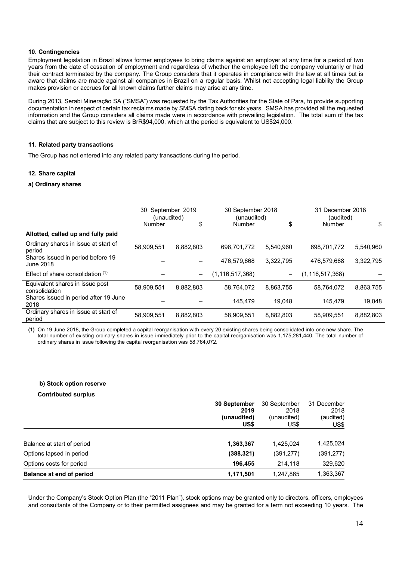## **10. Contingencies**

Employment legislation in Brazil allows former employees to bring claims against an employer at any time for a period of two years from the date of cessation of employment and regardless of whether the employee left the company voluntarily or had their contract terminated by the company. The Group considers that it operates in compliance with the law at all times but is aware that claims are made against all companies in Brazil on a regular basis. Whilst not accepting legal liability the Group makes provision or accrues for all known claims further claims may arise at any time.

During 2013, Serabi Mineração SA ("SMSA") was requested by the Tax Authorities for the State of Para, to provide supporting documentation in respect of certain tax reclaims made by SMSA dating back for six years. SMSA has provided all the requested information and the Group considers all claims made were in accordance with prevailing legislation. The total sum of the tax claims that are subject to this review is BrR\$94,000, which at the period is equivalent to US\$24,000.

#### **11. Related party transactions**

The Group has not entered into any related party transactions during the period.

## **12. Share capital**

#### **a) Ordinary shares**

|                                                  | September 2019<br>30<br>(unaudited) |                          |                    | 30 September 2018<br>(unaudited) |                 | 31 December 2018<br>(audited) |  |
|--------------------------------------------------|-------------------------------------|--------------------------|--------------------|----------------------------------|-----------------|-------------------------------|--|
|                                                  | Number                              | \$                       | <b>Number</b>      | \$                               | <b>Number</b>   | \$                            |  |
| Allotted, called up and fully paid               |                                     |                          |                    |                                  |                 |                               |  |
| Ordinary shares in issue at start of<br>period   | 58,909,551                          | 8,882,803                | 698,701,772        | 5.540.960                        | 698,701,772     | 5,540,960                     |  |
| Shares issued in period before 19<br>June 2018   |                                     |                          | 476,579,668        | 3,322,795                        | 476.579.668     | 3,322,795                     |  |
| Effect of share consolidation $(1)$              |                                     | $\overline{\phantom{m}}$ | (1, 116, 517, 368) | $\qquad \qquad -$                | (1,116,517,368) |                               |  |
| Equivalent shares in issue post<br>consolidation | 58,909,551                          | 8,882,803                | 58.764.072         | 8.863.755                        | 58.764.072      | 8,863,755                     |  |
| Shares issued in period after 19 June<br>2018    |                                     |                          | 145.479            | 19.048                           | 145.479         | 19.048                        |  |
| Ordinary shares in issue at start of<br>period   | 58,909,551                          | 8,882,803                | 58,909,551         | 8,882,803                        | 58,909,551      | 8,882,803                     |  |

**(1)** On 19 June 2018, the Group completed a capital reorganisation with every 20 existing shares being consolidated into one new share. The total number of existing ordinary shares in issue immediately prior to the capital reorganisation was 1,175,281,440. The total number of ordinary shares in issue following the capital reorganisation was 58,764,072.

#### **b) Stock option reserve**

#### **Contributed surplus**

|                            | 30 September<br>2019<br>(unaudited)<br>US\$ |            | 31 December<br>2018<br>(audited)<br>US\$ |  |
|----------------------------|---------------------------------------------|------------|------------------------------------------|--|
| Balance at start of period | 1,363,367                                   | 1.425.024  | 1,425,024                                |  |
| Options lapsed in period   | (388, 321)                                  | (391, 277) | (391, 277)                               |  |
| Options costs for period   | 196,455                                     | 214,118    | 329,620                                  |  |
| Balance at end of period   | 1,171,501                                   | 1,247,865  | 1,363,367                                |  |

Under the Company's Stock Option Plan (the "2011 Plan"), stock options may be granted only to directors, officers, employees and consultants of the Company or to their permitted assignees and may be granted for a term not exceeding 10 years. The